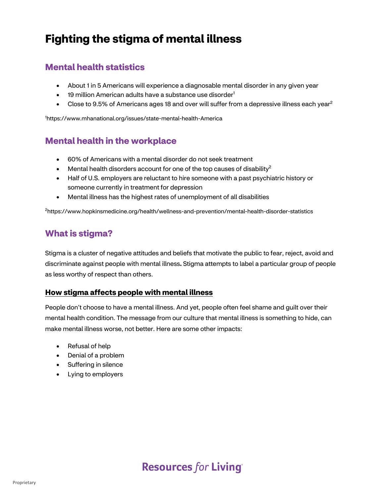## **Fighting the stigma of mental illness**

## **Mental health statistics**

- About 1 in 5 Americans will experience a diagnosable mental disorder in any given year
- 19 million American adults have a substance use disorder<sup>1</sup>
- Close to 9.5% of Americans ages 18 and over will suffer from a depressive illness each year<sup>2</sup>

1 https://www.mhanational.org/issues/state-mental-health-America

### **Mental health in the workplace**

- 60% of Americans with a mental disorder do not seek treatment
- Mental health disorders account for one of the top causes of disability<sup>2</sup>
- Half of U.S. employers are reluctant to hire someone with a past psychiatric history or someone currently in treatment for depression
- Mental illness has the highest rates of unemployment of all disabilities

2 https://www.hopkinsmedicine.org/health/wellness-and-prevention/mental-health-disorder-statistics

### **What is stigma?**

Stigma is a cluster of negative attitudes and beliefs that motivate the public to fear, reject, avoid and discriminate against people with mental illness**.** Stigma attempts to label a particular group of people as less worthy of respect than others.

#### **How stigma affects people with mental illness**

People don't choose to have a mental illness. And yet, people often feel shame and guilt over their mental health condition. The message from our culture that mental illness is something to hide, can make mental illness worse, not better. Here are some other impacts:

- Refusal of help
- Denial of a problem
- Suffering in silence
- Lying to employers

## **Resources for Living**